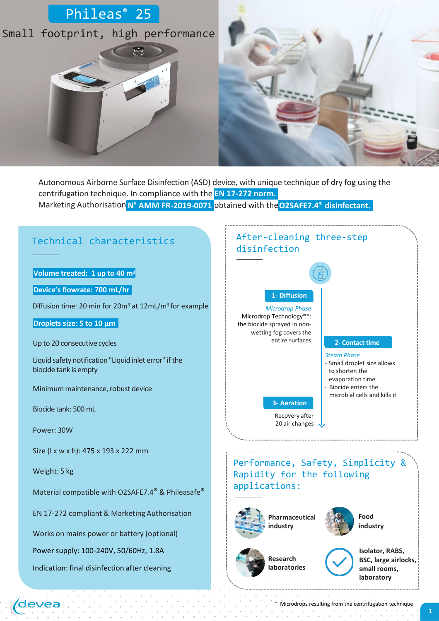

Marketing Authorisation **N° AMM FR-2019-0071** obtained with the**O2SAFE7.4® disinfectant.** Autonomous Airborne Surface Disinfection (ASD) device, with unique technique of dry fog using the centrifugation technique. In compliance with the **EN 17-272 norm.**



\* Microdrops resulting from the centrifugation technique